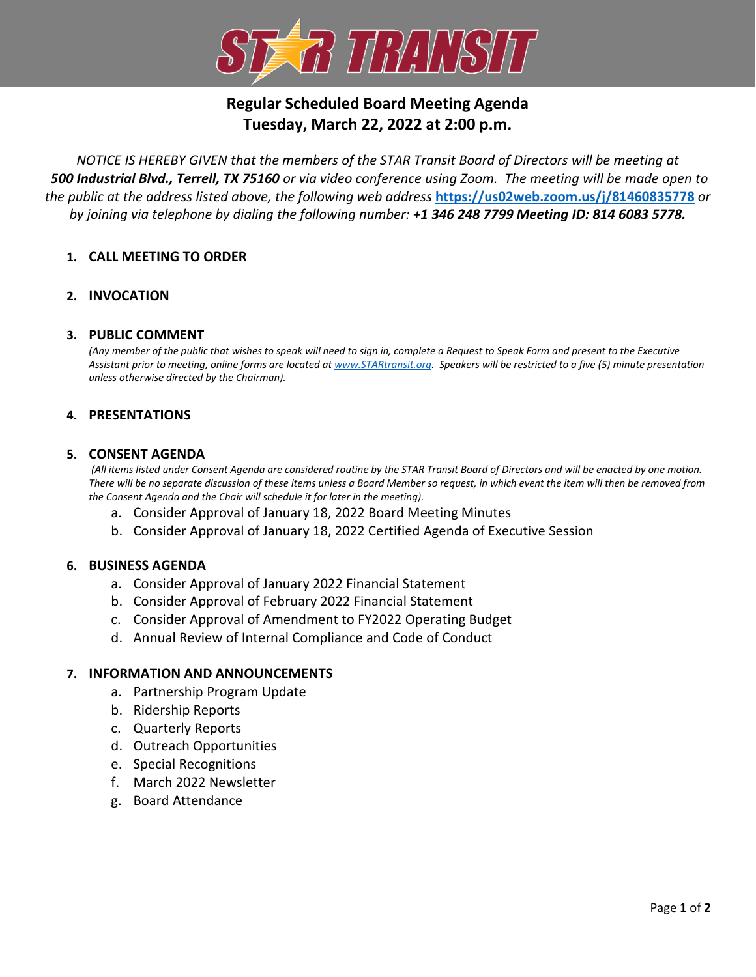

# **Regular Scheduled Board Meeting Agenda Tuesday, March 22, 2022 at 2:00 p.m.**

*NOTICE IS HEREBY GIVEN that the members of the STAR Transit Board of Directors will be meeting at 500 Industrial Blvd., Terrell, TX 75160 or via video conference using Zoom. The meeting will be made open to the public at the address listed above, the following web address* **<https://us02web.zoom.us/j/81460835778>** *or by joining via telephone by dialing the following number: +1 346 248 7799 Meeting ID: 814 6083 5778.*

# **1. CALL MEETING TO ORDER**

# **2. INVOCATION**

## **3. PUBLIC COMMENT**

*(Any member of the public that wishes to speak will need to sign in, complete a Request to Speak Form and present to the Executive Assistant prior to meeting, online forms are located at [www.STARtransit.org.](http://www.startransit.org/) Speakers will be restricted to a five (5) minute presentation unless otherwise directed by the Chairman).*

## **4. PRESENTATIONS**

## **5. CONSENT AGENDA**

*(All items listed under Consent Agenda are considered routine by the STAR Transit Board of Directors and will be enacted by one motion. There will be no separate discussion of these items unless a Board Member so request, in which event the item will then be removed from the Consent Agenda and the Chair will schedule it for later in the meeting).*

- a. Consider Approval of January 18, 2022 Board Meeting Minutes
- b. Consider Approval of January 18, 2022 Certified Agenda of Executive Session

## **6. BUSINESS AGENDA**

- a. Consider Approval of January 2022 Financial Statement
- b. Consider Approval of February 2022 Financial Statement
- c. Consider Approval of Amendment to FY2022 Operating Budget
- d. Annual Review of Internal Compliance and Code of Conduct

## **7. INFORMATION AND ANNOUNCEMENTS**

- a. Partnership Program Update
- b. Ridership Reports
- c. Quarterly Reports
- d. Outreach Opportunities
- e. Special Recognitions
- f. March 2022 Newsletter
- g. Board Attendance